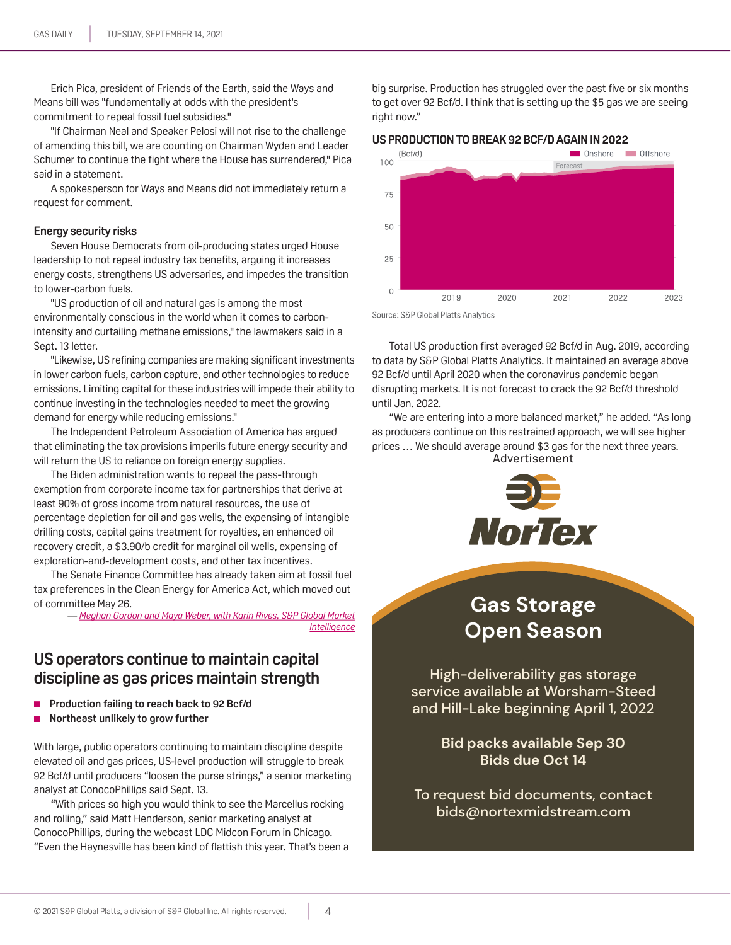Erich Pica, president of Friends of the Earth, said the Ways and Means bill was "fundamentally at odds with the president's commitment to repeal fossil fuel subsidies."

"If Chairman Neal and Speaker Pelosi will not rise to the challenge of amending this bill, we are counting on Chairman Wyden and Leader Schumer to continue the fight where the House has surrendered," Pica said in a statement.

A spokesperson for Ways and Means did not immediately return a request for comment.

### **Energy security risks**

Seven House Democrats from oil-producing states urged House leadership to not repeal industry tax benefits, arguing it increases energy costs, strengthens US adversaries, and impedes the transition to lower-carbon fuels.

"US production of oil and natural gas is among the most environmentally conscious in the world when it comes to carbonintensity and curtailing methane emissions," the lawmakers said in a Sept. 13 letter.

"Likewise, US refining companies are making significant investments in lower carbon fuels, carbon capture, and other technologies to reduce emissions. Limiting capital for these industries will impede their ability to continue investing in the technologies needed to meet the growing demand for energy while reducing emissions."

The Independent Petroleum Association of America has argued that eliminating the tax provisions imperils future energy security and will return the US to reliance on foreign energy supplies.

The Biden administration wants to repeal the pass-through exemption from corporate income tax for partnerships that derive at least 90% of gross income from natural resources, the use of percentage depletion for oil and gas wells, the expensing of intangible drilling costs, capital gains treatment for royalties, an enhanced oil recovery credit, a \$3.90/b credit for marginal oil wells, expensing of exploration-and-development costs, and other tax incentives.

The Senate Finance Committee has already taken aim at fossil fuel tax preferences in the Clean Energy for America Act, which moved out of committee May 26.

> *— [Meghan Gordon and Maya Weber, with Karin Rives, S&P Global Market](mailto:meghan.gordon@spglobal.com)  [Intelligenc](mailto:meghan.gordon@spglobal.com)e*

## **US operators continue to maintain capital discipline as gas prices maintain strength**

- **Production failing to reach back to 92 Bcf/d**
- **Northeast unlikely to grow further**

With large, public operators continuing to maintain discipline despite elevated oil and gas prices, US-level production will struggle to break 92 Bcf/d until producers "loosen the purse strings," a senior marketing analyst at ConocoPhillips said Sept. 13.

"With prices so high you would think to see the Marcellus rocking and rolling," said Matt Henderson, senior marketing analyst at ConocoPhillips, during the webcast LDC Midcon Forum in Chicago. "Even the Haynesville has been kind of flattish this year. That's been a

big surprise. Production has struggled over the past five or six months to get over 92 Bcf/d. I think that is setting up the \$5 gas we are seeing right now."





Source: S&P Global Platts Analytics

Total US production first averaged 92 Bcf/d in Aug. 2019, according to data by S&P Global Platts Analytics. It maintained an average above 92 Bcf/d until April 2020 when the coronavirus pandemic began disrupting markets. It is not forecast to crack the 92 Bcf/d threshold until Jan. 2022.

"We are entering into a more balanced market," he added. "As long as producers continue on this restrained approach, we will see higher prices … We should average around \$3 gas for the next three years. Advertisement



**Gas Storage Open Season Gas Storage Open Season**

High-deliverability gas storage [service available at Worsham-Steed](mailto:bids%40nortexmidstream.com?subject=)  and Hill-Lake beginning April 1, 2022

> **Bid packs available Sep 30 Bids due Oct 14**

To request bid documents, contact bids@nortexmidstream.com